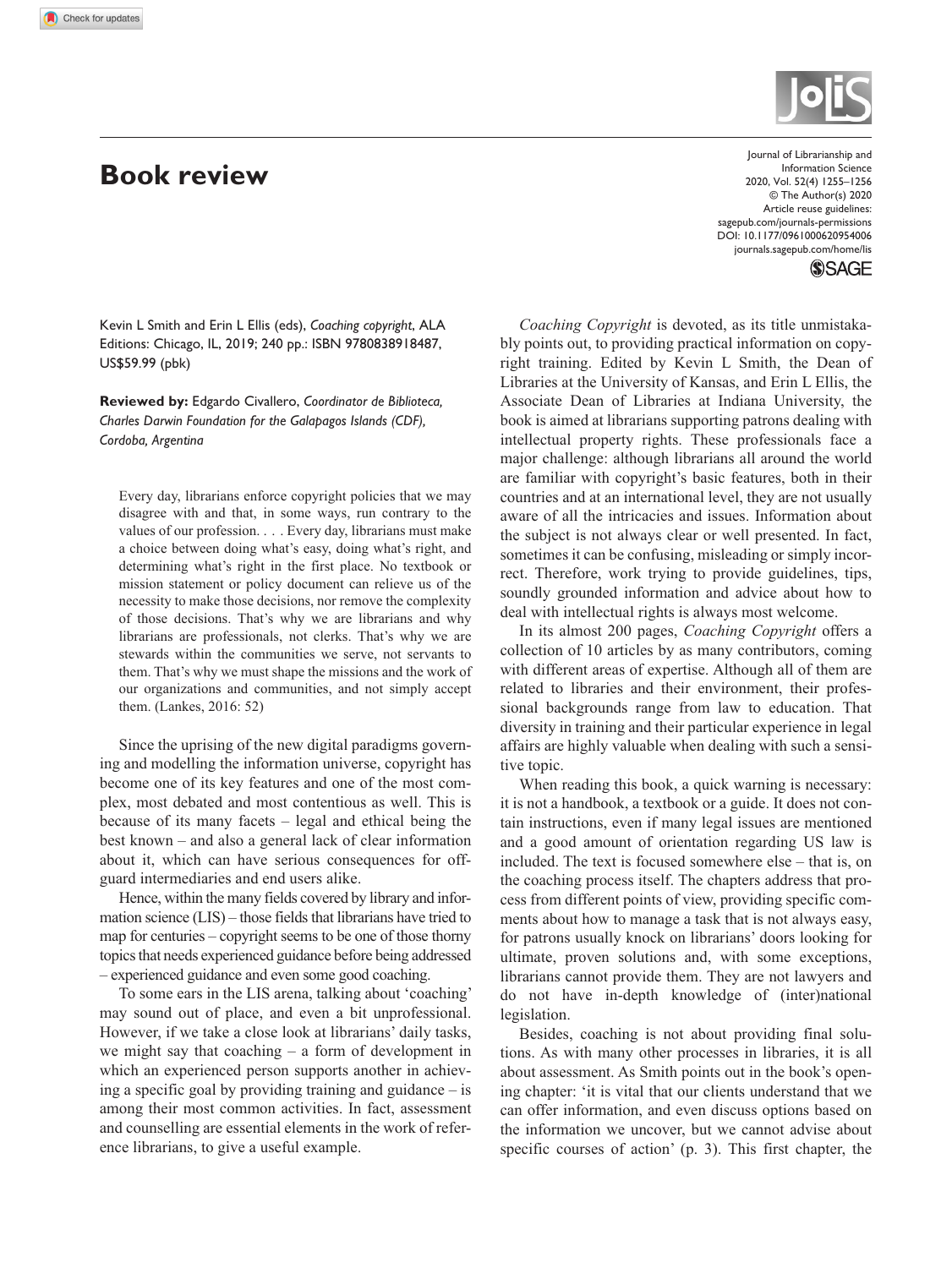## **Book review**



DOI: 10.1177/0961000620954006 Journal of Librarianship and Information Science 2020, Vol. 52(4) 1255–1256 © The Author(s) 2020 Article reuse guidelines: [sagepub.com/journals-permissions](https://uk.sagepub.com/en-gb/journals-permissions) [journals.sagepub.com/home/lis](https://journals.sagepub.com/home/lis)

**SSAGE** 

Kevin L Smith and Erin L Ellis (eds), *Coaching copyright*, ALA Editions: Chicago, IL, 2019; 240 pp.: ISBN 9780838918487, US\$59.99 (pbk)

**Reviewed by:** Edgardo Civallero, *Coordinator de Biblioteca, Charles Darwin Foundation for the Galapagos Islands (CDF), Cordoba, Argentina*

Every day, librarians enforce copyright policies that we may disagree with and that, in some ways, run contrary to the values of our profession. . . . Every day, librarians must make a choice between doing what's easy, doing what's right, and determining what's right in the first place. No textbook or mission statement or policy document can relieve us of the necessity to make those decisions, nor remove the complexity of those decisions. That's why we are librarians and why librarians are professionals, not clerks. That's why we are stewards within the communities we serve, not servants to them. That's why we must shape the missions and the work of our organizations and communities, and not simply accept them. (Lankes, 2016: 52)

Since the uprising of the new digital paradigms governing and modelling the information universe, copyright has become one of its key features and one of the most complex, most debated and most contentious as well. This is because of its many facets – legal and ethical being the best known – and also a general lack of clear information about it, which can have serious consequences for offguard intermediaries and end users alike.

Hence, within the many fields covered by library and information science (LIS) – those fields that librarians have tried to map for centuries – copyright seems to be one of those thorny topics that needs experienced guidance before being addressed – experienced guidance and even some good coaching.

To some ears in the LIS arena, talking about 'coaching' may sound out of place, and even a bit unprofessional. However, if we take a close look at librarians' daily tasks, we might say that coaching – a form of development in which an experienced person supports another in achieving a specific goal by providing training and guidance – is among their most common activities. In fact, assessment and counselling are essential elements in the work of reference librarians, to give a useful example.

*Coaching Copyright* is devoted, as its title unmistakably points out, to providing practical information on copyright training. Edited by Kevin L Smith, the Dean of Libraries at the University of Kansas, and Erin L Ellis, the Associate Dean of Libraries at Indiana University, the book is aimed at librarians supporting patrons dealing with intellectual property rights. These professionals face a major challenge: although librarians all around the world are familiar with copyright's basic features, both in their countries and at an international level, they are not usually aware of all the intricacies and issues. Information about the subject is not always clear or well presented. In fact, sometimes it can be confusing, misleading or simply incorrect. Therefore, work trying to provide guidelines, tips, soundly grounded information and advice about how to deal with intellectual rights is always most welcome.

In its almost 200 pages, *Coaching Copyright* offers a collection of 10 articles by as many contributors, coming with different areas of expertise. Although all of them are related to libraries and their environment, their professional backgrounds range from law to education. That diversity in training and their particular experience in legal affairs are highly valuable when dealing with such a sensitive topic.

When reading this book, a quick warning is necessary: it is not a handbook, a textbook or a guide. It does not contain instructions, even if many legal issues are mentioned and a good amount of orientation regarding US law is included. The text is focused somewhere else – that is, on the coaching process itself. The chapters address that process from different points of view, providing specific comments about how to manage a task that is not always easy, for patrons usually knock on librarians' doors looking for ultimate, proven solutions and, with some exceptions, librarians cannot provide them. They are not lawyers and do not have in-depth knowledge of (inter)national legislation.

Besides, coaching is not about providing final solutions. As with many other processes in libraries, it is all about assessment. As Smith points out in the book's opening chapter: 'it is vital that our clients understand that we can offer information, and even discuss options based on the information we uncover, but we cannot advise about specific courses of action' (p. 3). This first chapter, the